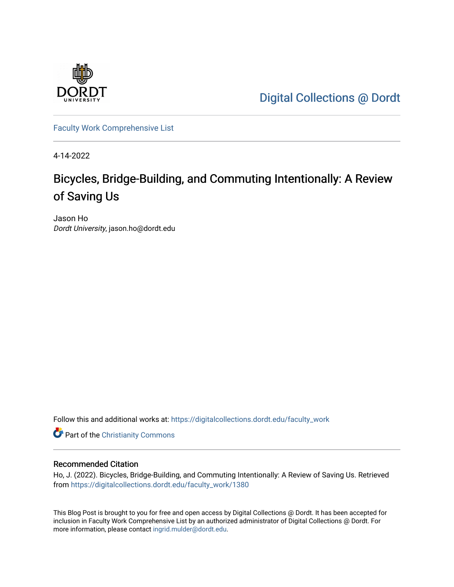

[Digital Collections @ Dordt](https://digitalcollections.dordt.edu/) 

[Faculty Work Comprehensive List](https://digitalcollections.dordt.edu/faculty_work)

4-14-2022

## Bicycles, Bridge-Building, and Commuting Intentionally: A Review of Saving Us

Jason Ho Dordt University, jason.ho@dordt.edu

Follow this and additional works at: [https://digitalcollections.dordt.edu/faculty\\_work](https://digitalcollections.dordt.edu/faculty_work?utm_source=digitalcollections.dordt.edu%2Ffaculty_work%2F1380&utm_medium=PDF&utm_campaign=PDFCoverPages) 

**Part of the Christianity Commons** 

#### Recommended Citation

Ho, J. (2022). Bicycles, Bridge-Building, and Commuting Intentionally: A Review of Saving Us. Retrieved from [https://digitalcollections.dordt.edu/faculty\\_work/1380](https://digitalcollections.dordt.edu/faculty_work/1380?utm_source=digitalcollections.dordt.edu%2Ffaculty_work%2F1380&utm_medium=PDF&utm_campaign=PDFCoverPages) 

This Blog Post is brought to you for free and open access by Digital Collections @ Dordt. It has been accepted for inclusion in Faculty Work Comprehensive List by an authorized administrator of Digital Collections @ Dordt. For more information, please contact [ingrid.mulder@dordt.edu.](mailto:ingrid.mulder@dordt.edu)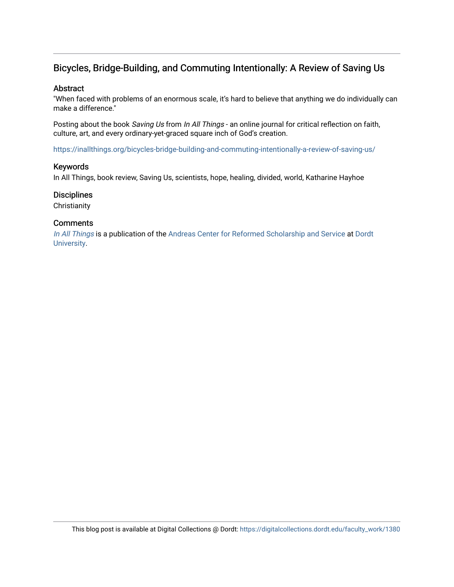## Bicycles, Bridge-Building, and Commuting Intentionally: A Review of Saving Us

#### Abstract

"When faced with problems of an enormous scale, it's hard to believe that anything we do individually can make a difference."

Posting about the book Saving Us from In All Things - an online journal for critical reflection on faith, culture, art, and every ordinary-yet-graced square inch of God's creation.

<https://inallthings.org/bicycles-bridge-building-and-commuting-intentionally-a-review-of-saving-us/>

#### Keywords

In All Things, book review, Saving Us, scientists, hope, healing, divided, world, Katharine Hayhoe

#### **Disciplines**

**Christianity** 

#### **Comments**

[In All Things](http://inallthings.org/) is a publication of the [Andreas Center for Reformed Scholarship and Service](http://www.dordt.edu/services_support/andreas_center/) at Dordt [University](http://www.dordt.edu/).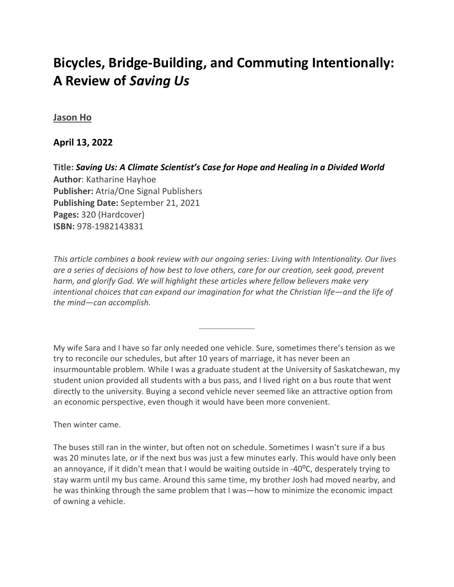# **Bicycles, Bridge-Building, and Commuting Intentionally: A Review of** *Saving Us*

## **[Jason Ho](https://inallthings.org/author/jason-ho/)**

## **April 13, 2022**

**Title:** *[Saving Us: A Climate Scientist's Case for Hope and Healing in a Divided World](https://www.amazon.com/Saving-Us-Climate-Scientists-Healing/dp/1982143835/ref=sr_1_1?crid=1QC2R0CBPOAC7&keywords=saving+us+katharine+hayhoe&qid=1649789002&sprefix=%2Caps%2C137&sr=8-1)* **Author**: Katharine Hayhoe **Publisher:** Atria/One Signal Publishers **Publishing Date:** September 21, 2021 **Pages:** 320 (Hardcover) **ISBN:** 978-1982143831

*This article combines a book review with our ongoing series: Living with Intentionality. Our lives are a series of decisions of how best to love others, care for our creation, seek good, prevent harm, and glorify God. We will highlight these articles where fellow believers make very intentional choices that can expand our imagination for what the Christian life—and the life of the mind—can accomplish.*

My wife Sara and I have so far only needed one vehicle. Sure, sometimes there's tension as we try to reconcile our schedules, but after 10 years of marriage, it has never been an insurmountable problem. While I was a graduate student at the University of Saskatchewan, my student union provided all students with a bus pass, and I lived right on a bus route that went directly to the university. Buying a second vehicle never seemed like an attractive option from an economic perspective, even though it would have been more convenient.

Then winter came.

The buses still ran in the winter, but often not on schedule. Sometimes I wasn't sure if a bus was 20 minutes late, or if the next bus was just a few minutes early. This would have only been an annoyance, if it didn't mean that I would be waiting outside in -40 $^{\circ}$ C, desperately trying to stay warm until my bus came. Around this same time, my brother Josh had moved nearby, and he was thinking through the same problem that I was—how to minimize the economic impact of owning a vehicle.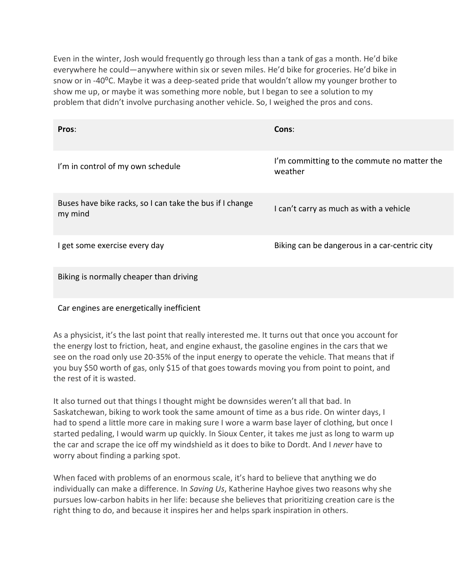Even in the winter, Josh would frequently go through less than a tank of gas a month. He'd bike everywhere he could—anywhere within six or seven miles. He'd bike for groceries. He'd bike in snow or in -40<sup>o</sup>C. Maybe it was a deep-seated pride that wouldn't allow my younger brother to show me up, or maybe it was something more noble, but I began to see a solution to my problem that didn't involve purchasing another vehicle. So, I weighed the pros and cons.

| Pros:                                                               | Cons:                                                  |
|---------------------------------------------------------------------|--------------------------------------------------------|
| I'm in control of my own schedule                                   | I'm committing to the commute no matter the<br>weather |
| Buses have bike racks, so I can take the bus if I change<br>my mind | I can't carry as much as with a vehicle                |
| I get some exercise every day                                       | Biking can be dangerous in a car-centric city          |
| Biking is normally cheaper than driving                             |                                                        |

### Car engines are energetically inefficient

As a physicist, it's the last point that really interested me. It turns out that once you account for the energy lost to friction, heat, and engine exhaust, the gasoline engines in the cars that we see on the road only use 20-35% of the input energy to operate the vehicle. That means that if you buy \$50 worth of gas, only \$15 of that goes towards moving you from point to point, and the rest of it is wasted.

It also turned out that things I thought might be downsides weren't all that bad. In Saskatchewan, biking to work took the same amount of time as a bus ride. On winter days, I had to spend a little more care in making sure I wore a warm base layer of clothing, but once I started pedaling, I would warm up quickly. In Sioux Center, it takes me just as long to warm up the car and scrape the ice off my windshield as it does to bike to Dordt. And I *never* have to worry about finding a parking spot.

When faced with problems of an enormous scale, it's hard to believe that anything we do individually can make a difference. In *Saving Us*, Katherine Hayhoe gives two reasons why she pursues low-carbon habits in her life: because she believes that prioritizing creation care is the right thing to do, and because it inspires her and helps spark inspiration in others.